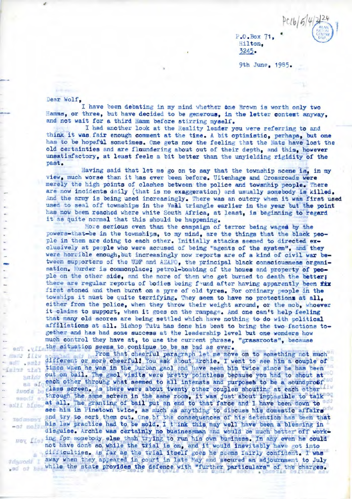P.O.Eox 71, • 'iilt on, 3245.

9th June , 1985.

 $PClb/5/4$ 

## Dear Wolf,

....

I have been debating in my mind whether one Brown is worth only two Hamms, or three, but have decided to be generous, in the letter context anyway, and not wait for a third Hamm before stirring myself.

I had another look at the Reality leader you were referring to and think it was fair enough comment at the time. A bit optimistic, perhaps, but one has to be hopeful sometimes. One gets now the feeling that the Nats have lost the old certainties and are fluundering about out of their depth, and this, however unsatisfactory, at least feels a bit better than the unyielding rigidity of the past.

Having said that let me go on to say that the township scene is, in my view, much worse than it has ever been before. Uitenhage and Crossroads were merely the high points of clashes between the police and towsnhip people. There are now incidents daily (that is no exaggeration) and usually somebody is killed. And the army is being used increasingly. There was an outcry when it was first used used to seal off townships in the Vaal triangle earlier in the year but the point has now been reached where white South Africa, at least, is beginning to regard it as quite normal that this should be happening.

More serious even than the campaign of terror being waged by the powers-that-be in the townships, to my mind, are the things that the black people in them are doing to each other. Initially attacks seemed to directed ex-<br>clusively at people who were accused of being "agents of the system", and they were horrible enough, but increasingly now reports are of a kind of civil war between supporters of the UDF and AZAPO, the principal black consciousness organi-sation. Murder is commonplace; petrol-bombing of the homes and property of people on the other side, and the more of then who get burned to death the better; there are regular reports of bodies being found after having apparently been fix first stoned and then burnt on a pyre of old tyres. For ordinary people in the towships it must be quite terrifying. They seem to have no protections at all, either from the police, when they throw their weight around, or the mob, whoever it claims to support, when it goes on the rampage. And one can't help feeling that many old scores are being settled which have nothing to do with political affiliations at all. Bishop Tutu has done his best to bring the two factions together and has had some success at the leadership level but one wonders how much control they have at, to use the current phrase, "grassroots", because ent .vii the situation seems to continue to be as bad as ever.

From that cheerful paragraph let me move on to something not much From that cheerful paragraph let me move on to something not much<br>- and , smill different or more cheerful! You ask about Archie. I went to see him a couple of<br>- is times when he was in the Durban gaol and have seen him tw said; out on bail. The gaol visits were pretty pointless because you had to shout at each other throuhg what seemed to all intensts and purposes to be a soundproof<sup>ted</sup> glass screen. As there were about twenty other couples shouting at each other through the same screen in the same room, it was just about imptesible to talk at all. The granting of bail put ah end to that fatce and I have been down to see him in Pinetown twice, as much as anything to discuss his domestic affairs end try to sort them out. One of the consequences of his detention has been that his law practice had to be sold. I t ink this may well have been a blessing in his law practice had to be sold. I think this may well have been a blessing in disguise. Archie was certainly no businessman and would be much better off work--of molis ing for somebody else than trying to run his own business. In any even he could not have done so while the trial is on, and it would inevitably have got into difficulties. As far as the trial itself goes he seems fairly confident. I was

away when they appeared in court in late May and secured an adjournment to July while the state provides the defence with "further particulars" of the charges.